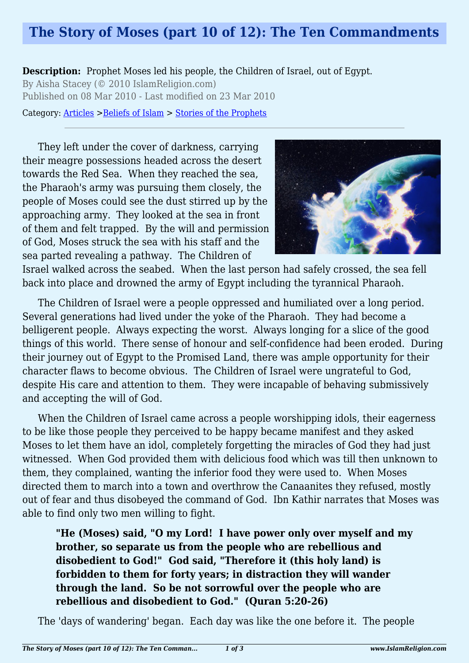## **The Story of Moses (part 10 of 12): The Ten Commandments**

**Description:** Prophet Moses led his people, the Children of Israel, out of Egypt. By Aisha Stacey (© 2010 IslamReligion.com) Published on 08 Mar 2010 - Last modified on 23 Mar 2010

Category: [Articles](http://www.islamreligion.com/articles/) >[Beliefs of Islam](http://www.islamreligion.com/category/48/) > [Stories of the Prophets](http://www.islamreligion.com/category/53/)

They left under the cover of darkness, carrying their meagre possessions headed across the desert towards the Red Sea. When they reached the sea, the Pharaoh's army was pursuing them closely, the people of Moses could see the dust stirred up by the approaching army. They looked at the sea in front of them and felt trapped. By the will and permission of God, Moses struck the sea with his staff and the sea parted revealing a pathway. The Children of



Israel walked across the seabed. When the last person had safely crossed, the sea fell back into place and drowned the army of Egypt including the tyrannical Pharaoh.

The Children of Israel were a people oppressed and humiliated over a long period. Several generations had lived under the yoke of the Pharaoh. They had become a belligerent people. Always expecting the worst. Always longing for a slice of the good things of this world. There sense of honour and self-confidence had been eroded. During their journey out of Egypt to the Promised Land, there was ample opportunity for their character flaws to become obvious. The Children of Israel were ungrateful to God, despite His care and attention to them. They were incapable of behaving submissively and accepting the will of God.

When the Children of Israel came across a people worshipping idols, their eagerness to be like those people they perceived to be happy became manifest and they asked Moses to let them have an idol, completely forgetting the miracles of God they had just witnessed. When God provided them with delicious food which was till then unknown to them, they complained, wanting the inferior food they were used to. When Moses directed them to march into a town and overthrow the Canaanites they refused, mostly out of fear and thus disobeyed the command of God. Ibn Kathir narrates that Moses was able to find only two men willing to fight.

**"He (Moses) said, "O my Lord! I have power only over myself and my brother, so separate us from the people who are rebellious and disobedient to God!" God said, "Therefore it (this holy land) is forbidden to them for forty years; in distraction they will wander through the land. So be not sorrowful over the people who are rebellious and disobedient to God." (Quran 5:20-26)**

The 'days of wandering' began. Each day was like the one before it. The people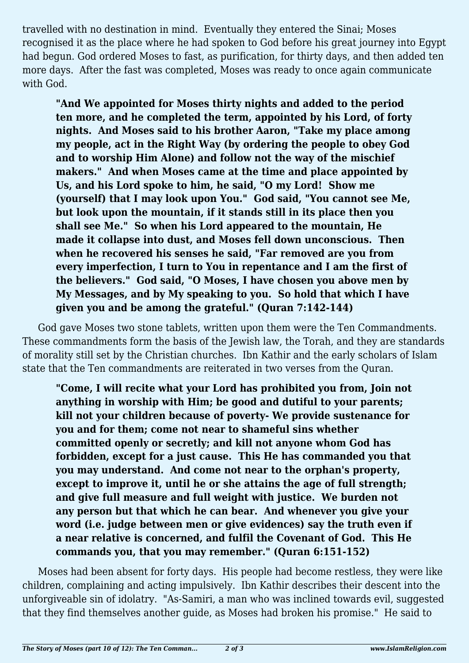travelled with no destination in mind. Eventually they entered the Sinai; Moses recognised it as the place where he had spoken to God before his great journey into Egypt had begun. God ordered Moses to fast, as purification, for thirty days, and then added ten more days. After the fast was completed, Moses was ready to once again communicate with God.

**"And We appointed for Moses thirty nights and added to the period ten more, and he completed the term, appointed by his Lord, of forty nights. And Moses said to his brother Aaron, "Take my place among my people, act in the Right Way (by ordering the people to obey God and to worship Him Alone) and follow not the way of the mischief makers." And when Moses came at the time and place appointed by Us, and his Lord spoke to him, he said, "O my Lord! Show me (yourself) that I may look upon You." God said, "You cannot see Me, but look upon the mountain, if it stands still in its place then you shall see Me." So when his Lord appeared to the mountain, He made it collapse into dust, and Moses fell down unconscious. Then when he recovered his senses he said, "Far removed are you from every imperfection, I turn to You in repentance and I am the first of the believers." God said, "O Moses, I have chosen you above men by My Messages, and by My speaking to you. So hold that which I have given you and be among the grateful." (Quran 7:142-144)**

God gave Moses two stone tablets, written upon them were the Ten Commandments. These commandments form the basis of the Jewish law, the Torah, and they are standards of morality still set by the Christian churches. Ibn Kathir and the early scholars of Islam state that the Ten commandments are reiterated in two verses from the Quran.

**"Come, I will recite what your Lord has prohibited you from, Join not anything in worship with Him; be good and dutiful to your parents; kill not your children because of poverty- We provide sustenance for you and for them; come not near to shameful sins whether committed openly or secretly; and kill not anyone whom God has forbidden, except for a just cause. This He has commanded you that you may understand. And come not near to the orphan's property, except to improve it, until he or she attains the age of full strength; and give full measure and full weight with justice. We burden not any person but that which he can bear. And whenever you give your word (i.e. judge between men or give evidences) say the truth even if a near relative is concerned, and fulfil the Covenant of God. This He commands you, that you may remember." (Quran 6:151-152)**

Moses had been absent for forty days. His people had become restless, they were like children, complaining and acting impulsively. Ibn Kathir describes their descent into the unforgiveable sin of idolatry. "As-Samiri, a man who was inclined towards evil, suggested that they find themselves another guide, as Moses had broken his promise." He said to